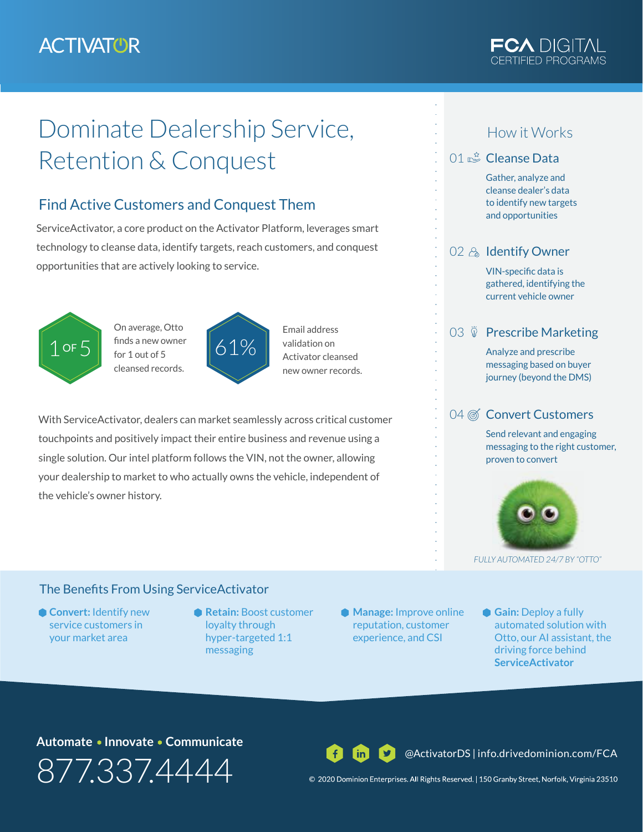## **ACTIVATOR**



# Dominate Dealership Service, Retention & Conquest

### Find Active Customers and Conquest Them

ServiceActivator, a core product on the Activator Platform, leverages smart technology to cleanse data, identify targets, reach customers, and conquest opportunities that are actively looking to service.



On average, Otto finds a new owner for 1 out of 5 cleansed records.



Email address validation on Activator cleansed new owner records.

With ServiceActivator, dealers can market seamlessly across critical customer touchpoints and positively impact their entire business and revenue using a single solution. Our intel platform follows the VIN, not the owner, allowing your dealership to market to who actually owns the vehicle, independent of the vehicle's owner history.

#### How it Works

#### 01  $\mathbb{R}^2$  Cleanse Data

Gather, analyze and cleanse dealer's data to identify new targets and opportunities

#### 02 & Identify Owner

VIN-specific data is gathered, identifying the current vehicle owner

#### 03  $\check{D}$  Prescribe Marketing

Analyze and prescribe messaging based on buyer journey (beyond the DMS)

#### 04 @ Convert Customers

Send relevant and engaging messaging to the right customer, proven to convert



*FULLY AUTOMATED 24/7 BY "OTTO"*

#### The Benefits From Using ServiceActivator

- **Convert:** Identify new service customers in your market area
- **Retain:** Boost customer loyalty through hyper-targeted 1:1 messaging
- **Manage:** Improve online reputation, customer experience, and CSI
- **Gain:** Deploy a fully automated solution with Otto, our AI assistant, the driving force behind **ServiceActivator**

#### Automate • Innovate • Communicate

877.337.4444

@ActivatorDS | info.drivedominion.com/FCA

© 2020 Dominion Enterprises. All Rights Reserved. | 150 Granby Street, Norfolk, Virginia 23510